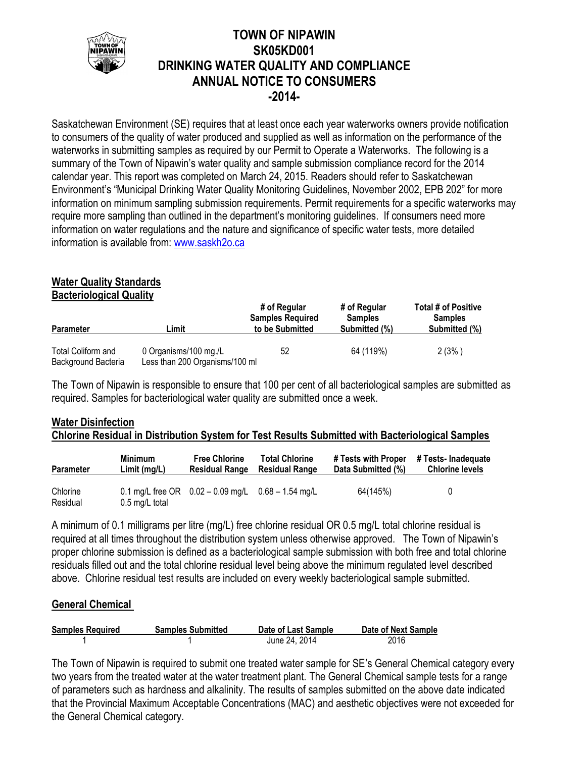

## **TOWN OF NIPAWIN SK05KD001 DRINKING WATER QUALITY AND COMPLIANCE ANNUAL NOTICE TO CONSUMERS -2014-**

Saskatchewan Environment (SE) requires that at least once each year waterworks owners provide notification to consumers of the quality of water produced and supplied as well as information on the performance of the waterworks in submitting samples as required by our Permit to Operate a Waterworks. The following is a summary of the Town of Nipawin's water quality and sample submission compliance record for the 2014 calendar year. This report was completed on March 24, 2015. Readers should refer to Saskatchewan Environment's "Municipal Drinking Water Quality Monitoring Guidelines, November 2002, EPB 202" for more information on minimum sampling submission requirements. Permit requirements for a specific waterworks may require more sampling than outlined in the department's monitoring guidelines. If consumers need more information on water regulations and the nature and significance of specific water tests, more detailed information is available from: [www.saskh2o.ca](http://www.saskh2o.ca/)

# **Water Quality Standards**

**Bacteriological Quality**

| <b>Parameter</b>                          | ∟imit                                                   | # of Regular<br><b>Samples Required</b><br>to be Submitted | # of Regular<br><b>Samples</b><br>Submitted (%) | <b>Total # of Positive</b><br><b>Samples</b><br>Submitted (%) |  |
|-------------------------------------------|---------------------------------------------------------|------------------------------------------------------------|-------------------------------------------------|---------------------------------------------------------------|--|
| Total Coliform and<br>Background Bacteria | 0 Organisms/100 mg./L<br>Less than 200 Organisms/100 ml | 52                                                         | 64 (119%)                                       | 2(3% )                                                        |  |

The Town of Nipawin is responsible to ensure that 100 per cent of all bacteriological samples are submitted as required. Samples for bacteriological water quality are submitted once a week.

## **Water Disinfection Chlorine Residual in Distribution System for Test Results Submitted with Bacteriological Samples**

| <b>Parameter</b>     | <b>Minimum</b>           | <b>Free Chlorine</b>                                   | <b>Total Chlorine</b> | # Tests with Proper | # Tests- Inadequate    |
|----------------------|--------------------------|--------------------------------------------------------|-----------------------|---------------------|------------------------|
|                      | Limit(mg/L)              | <b>Residual Range</b>                                  | <b>Residual Range</b> | Data Submitted (%)  | <b>Chlorine levels</b> |
| Chlorine<br>Residual | $0.5 \text{ mg/L}$ total | 0.1 mg/L free OR $0.02 - 0.09$ mg/L $0.68 - 1.54$ mg/L |                       | 64(145%)            | 0                      |

A minimum of 0.1 milligrams per litre (mg/L) free chlorine residual OR 0.5 mg/L total chlorine residual is required at all times throughout the distribution system unless otherwise approved. The Town of Nipawin's proper chlorine submission is defined as a bacteriological sample submission with both free and total chlorine residuals filled out and the total chlorine residual level being above the minimum regulated level described above. Chlorine residual test results are included on every weekly bacteriological sample submitted.

## **General Chemical**

| <b>Samples Required</b> | <b>Samples Submitted</b> | Date of Last Sample | Date of Next Sample |
|-------------------------|--------------------------|---------------------|---------------------|
|                         |                          | June 24, 2014       | 2016                |

The Town of Nipawin is required to submit one treated water sample for SE's General Chemical category every two years from the treated water at the water treatment plant. The General Chemical sample tests for a range of parameters such as hardness and alkalinity. The results of samples submitted on the above date indicated that the Provincial Maximum Acceptable Concentrations (MAC) and aesthetic objectives were not exceeded for the General Chemical category.